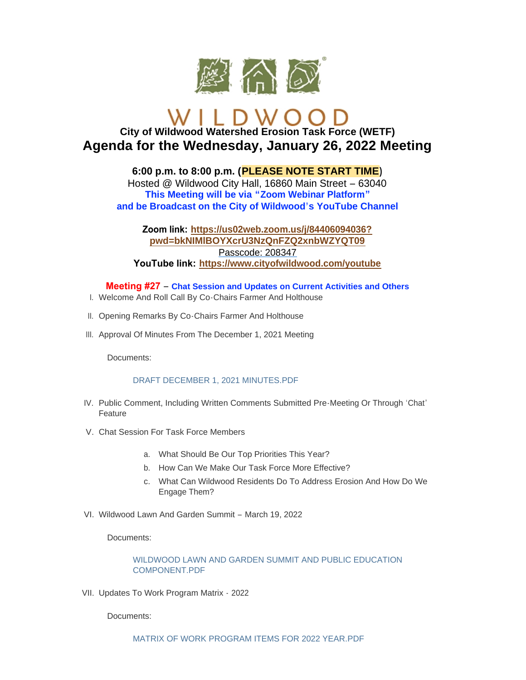

# **City of Wildwood Watershed Erosion Task Force (WETF) Agenda for the Wednesday, January 26, 2022 Meeting**

**6:00 p.m. to 8:00 p.m. (PLEASE NOTE START TIME)** Hosted @ Wildwood City Hall, 16860 Main Street – 63040 **This Meeting will be via "Zoom Webinar Platform" and be Broadcast on the City of Wildwood's YouTube Channel**

# **Zoom link: [https://us02web.zoom.us/j/84406094036?](https://us02web.zoom.us/j/84406094036?pwd=bkNIMlBOYXcrU3NzQnFZQ2xnbWZYQT09) pwd=bkNIMlBOYXcrU3NzQnFZQ2xnbWZYQT09** Passcode: 208347 **YouTube link: <https://www.cityofwildwood.com/youtube>**

**Meeting #27** – **Chat Session and Updates on Current Activities and Others**

- Welcome And Roll Call By Co-Chairs Farmer And Holthouse I.
- II. Opening Remarks By Co-Chairs Farmer And Holthouse
- III. Approval Of Minutes From The December 1, 2021 Meeting

Documents:

#### [DRAFT DECEMBER 1, 2021 MINUTES.PDF](https://www.cityofwildwood.com/AgendaCenter/ViewFile/Item/31415?fileID=33509)

- IV. Public Comment, Including Written Comments Submitted Pre-Meeting Or Through 'Chat' Feature
- V. Chat Session For Task Force Members
	- a. What Should Be Our Top Priorities This Year?
	- b. How Can We Make Our Task Force More Effective?
	- c. What Can Wildwood Residents Do To Address Erosion And How Do We Engage Them?
- Wildwood Lawn And Garden Summit March 19, 2022 VI.

Documents:

[WILDWOOD LAWN AND GARDEN SUMMIT AND PUBLIC EDUCATION](https://www.cityofwildwood.com/AgendaCenter/ViewFile/Item/31416?fileID=33510)  COMPONENT.PDF

VII. Updates To Work Program Matrix - 2022

Documents: